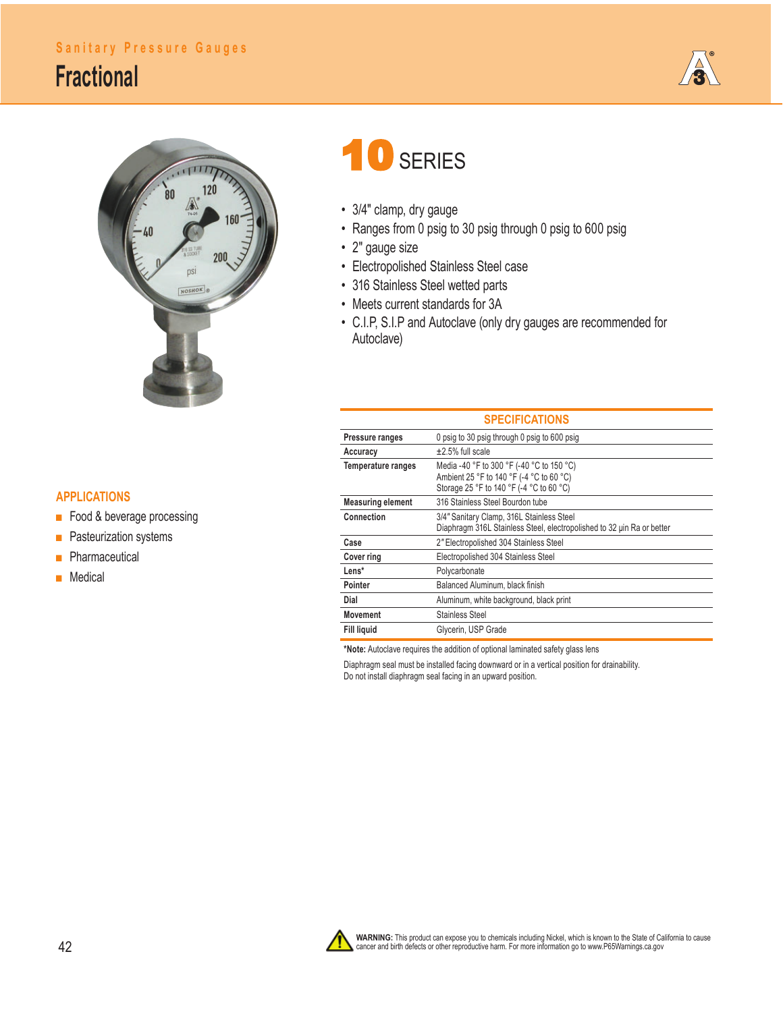## **Sanitary Pressure Gauges**

## **Fractional**





## **APPLICATIONS**

- Food & beverage processing
- Pasteurization systems
- **■** Pharmaceutical
- **■** Medical

## 10 SERIES

- 3/4" clamp, dry gauge
- Ranges from 0 psig to 30 psig through 0 psig to 600 psig
- 2" gauge size
- Electropolished Stainless Steel case
- 316 Stainless Steel wetted parts
- Meets current standards for 3A
- C.I.P, S.I.P and Autoclave (only dry gauges are recommended for Autoclave)

| <b>SPECIFICATIONS</b>    |                                                                                                                                   |  |  |  |  |  |
|--------------------------|-----------------------------------------------------------------------------------------------------------------------------------|--|--|--|--|--|
| Pressure ranges          | 0 psig to 30 psig through 0 psig to 600 psig                                                                                      |  |  |  |  |  |
| Accuracy                 | $\pm 2.5\%$ full scale                                                                                                            |  |  |  |  |  |
| Temperature ranges       | Media -40 °F to 300 °F (-40 °C to 150 °C)<br>Ambient 25 °F to 140 °F (-4 °C to 60 °C)<br>Storage 25 °F to 140 °F (-4 °C to 60 °C) |  |  |  |  |  |
| <b>Measuring element</b> | 316 Stainless Steel Bourdon tube                                                                                                  |  |  |  |  |  |
| Connection               | 3/4" Sanitary Clamp, 316L Stainless Steel<br>Diaphragm 316L Stainless Steel, electropolished to 32 uin Ra or better               |  |  |  |  |  |
| Case                     | 2" Electropolished 304 Stainless Steel                                                                                            |  |  |  |  |  |
| Cover ring               | Electropolished 304 Stainless Steel                                                                                               |  |  |  |  |  |
| Lens*                    | Polycarbonate                                                                                                                     |  |  |  |  |  |
| Pointer                  | Balanced Aluminum, black finish                                                                                                   |  |  |  |  |  |
| Dial                     | Aluminum, white background, black print                                                                                           |  |  |  |  |  |
| Movement                 | <b>Stainless Steel</b>                                                                                                            |  |  |  |  |  |
| <b>Fill liguid</b>       | Glycerin, USP Grade                                                                                                               |  |  |  |  |  |

**\*Note:** Autoclave requires the addition of optional laminated safety glass lens

Diaphragm seal must be installed facing downward or in a vertical position for drainability. Do not install diaphragm seal facing in an upward position.